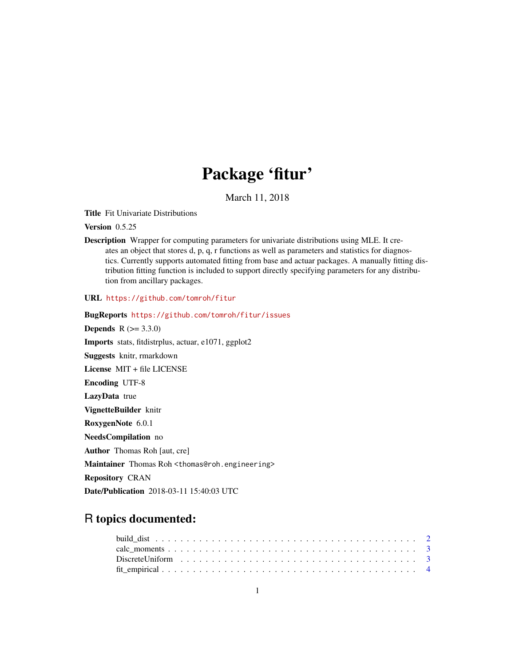## Package 'fitur'

March 11, 2018

Title Fit Univariate Distributions

Version 0.5.25

Description Wrapper for computing parameters for univariate distributions using MLE. It creates an object that stores d, p, q, r functions as well as parameters and statistics for diagnostics. Currently supports automated fitting from base and actuar packages. A manually fitting distribution fitting function is included to support directly specifying parameters for any distribution from ancillary packages.

URL <https://github.com/tomroh/fitur>

BugReports <https://github.com/tomroh/fitur/issues> **Depends** R  $(>= 3.3.0)$ Imports stats, fitdistrplus, actuar, e1071, ggplot2 Suggests knitr, rmarkdown License MIT + file LICENSE Encoding UTF-8 LazyData true VignetteBuilder knitr RoxygenNote 6.0.1 NeedsCompilation no Author Thomas Roh [aut, cre] Maintainer Thomas Roh <thomas@roh.engineering> Repository CRAN Date/Publication 2018-03-11 15:40:03 UTC

### R topics documented: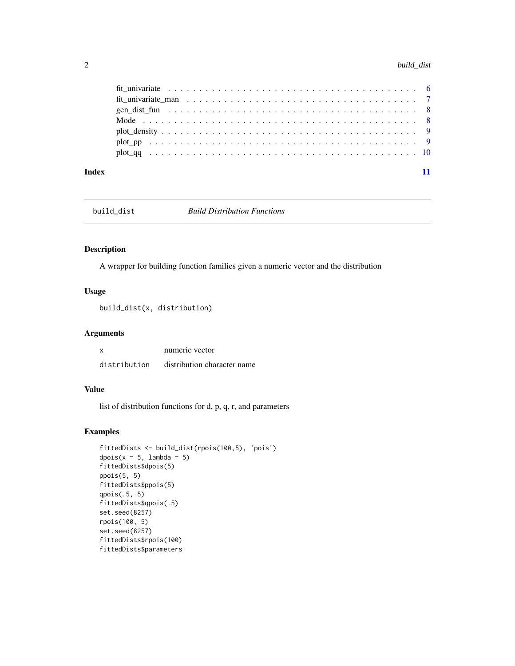#### <span id="page-1-0"></span>2 build\_dist **build\_dist**

| Index |  |  |  |  |  |  |
|-------|--|--|--|--|--|--|

#### Description

A wrapper for building function families given a numeric vector and the distribution

#### Usage

build\_dist(x, distribution)

#### Arguments

| x            | numeric vector              |
|--------------|-----------------------------|
| distribution | distribution character name |

#### Value

list of distribution functions for d, p, q, r, and parameters

```
fittedDists <- build_dist(rpois(100,5), 'pois')
dpois(x = 5, lambda = 5)
fittedDists$dpois(5)
ppois(5, 5)
fittedDists$ppois(5)
qpois(.5, 5)
fittedDists$qpois(.5)
set.seed(8257)
rpois(100, 5)
set.seed(8257)
fittedDists$rpois(100)
fittedDists$parameters
```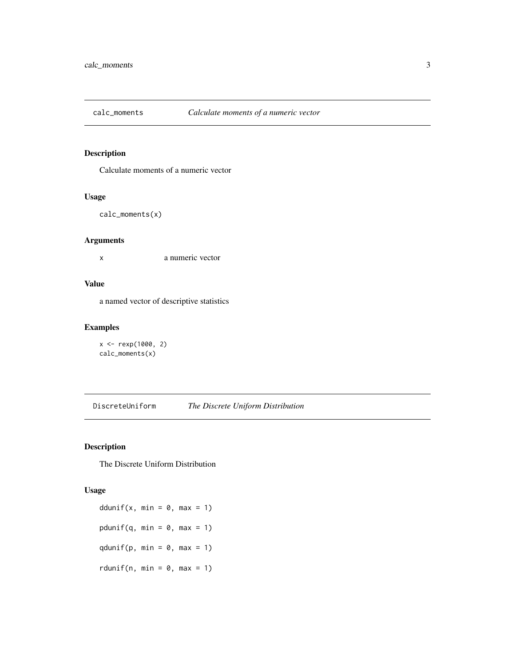<span id="page-2-0"></span>

Calculate moments of a numeric vector

#### Usage

```
calc_moments(x)
```
#### Arguments

x a numeric vector

#### Value

a named vector of descriptive statistics

#### Examples

```
x <- rexp(1000, 2)
calc_moments(x)
```
DiscreteUniform *The Discrete Uniform Distribution*

#### Description

The Discrete Uniform Distribution

#### Usage

ddunif(x, min =  $0$ , max = 1) pdunif(q, min =  $0$ , max = 1) qdunif(p, min =  $0$ , max = 1) rdunif(n, min =  $0$ , max = 1)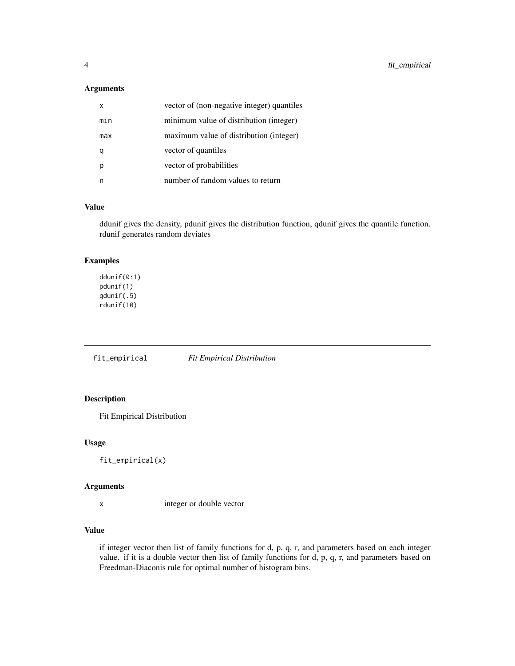#### <span id="page-3-0"></span>Arguments

| x   | vector of (non-negative integer) quantiles |
|-----|--------------------------------------------|
| min | minimum value of distribution (integer)    |
| max | maximum value of distribution (integer)    |
|     | vector of quantiles                        |
|     | vector of probabilities                    |
|     | number of random values to return          |

#### Value

ddunif gives the density, pdunif gives the distribution function, qdunif gives the quantile function, rdunif generates random deviates

#### Examples

ddunif(0:1) pdunif(1) qdunif(.5) rdunif(10)

fit\_empirical *Fit Empirical Distribution*

#### Description

Fit Empirical Distribution

#### Usage

fit\_empirical(x)

#### Arguments

```
x integer or double vector
```
#### Value

if integer vector then list of family functions for d, p, q, r, and parameters based on each integer value. if it is a double vector then list of family functions for d, p, q, r, and parameters based on Freedman-Diaconis rule for optimal number of histogram bins.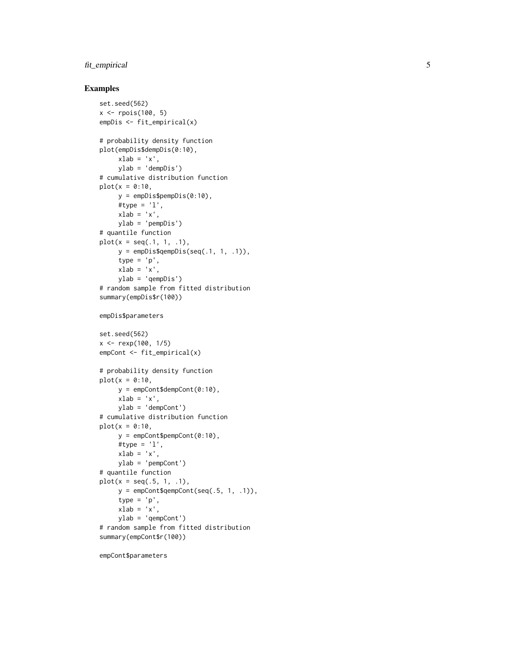#### fit\_empirical

#### Examples

```
set.seed(562)
x \le rpois(100, 5)
empDis <- fit_empirical(x)
# probability density function
plot(empDis$dempDis(0:10),
     xlab = 'x',
     ylab = 'dempDis')
# cumulative distribution function
plot(x = 0:10,y =empDis$pempDis(0:10),
     #type = 'l',
    xlab = 'x',
    ylab = 'pempDis')
# quantile function
plot(x = seq(.1, 1, .1),y =empDis$qempDis(seq(.1, 1, .1)),
     type = 'p',
    xlab = 'x',
    ylab = 'qempDis')
# random sample from fitted distribution
summary(empDis$r(100))
empDis$parameters
set.seed(562)
x <- rexp(100, 1/5)
empCont <- fit_empirical(x)
# probability density function
plot(x = 0:10,y = empCont$dempCont(0:10),
     xlab = 'x',
    ylab = 'dempCont')
# cumulative distribution function
plot(x = 0:10,y = empCont$pempCont(0:10),#type = 'l',
    xlab = 'x',
    ylab = 'pempCont')
# quantile function
plot(x = seq(.5, 1, .1),y = empCont$qempCont(seq(.5, 1, .1)),type = 'p',
    xlab = 'x',
     ylab = 'qempCont')
# random sample from fitted distribution
summary(empCont$r(100))
```
empCont\$parameters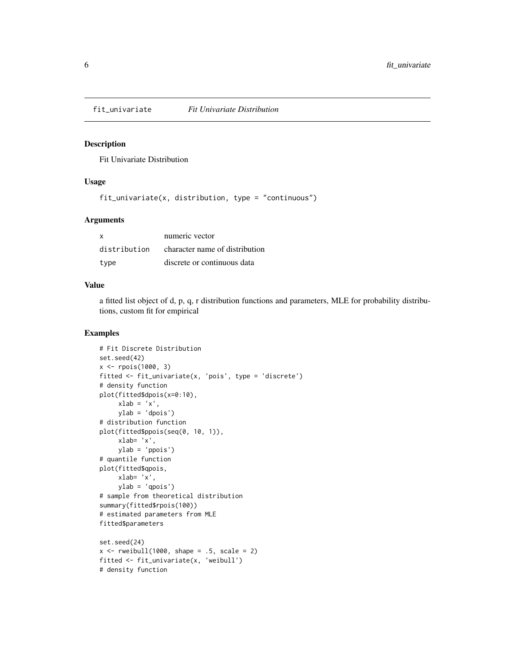<span id="page-5-0"></span>

Fit Univariate Distribution

#### Usage

fit\_univariate(x, distribution, type = "continuous")

#### Arguments

| X            | numeric vector                 |
|--------------|--------------------------------|
| distribution | character name of distribution |
| type         | discrete or continuous data    |

#### Value

a fitted list object of d, p, q, r distribution functions and parameters, MLE for probability distributions, custom fit for empirical

```
# Fit Discrete Distribution
set.seed(42)
x <- rpois(1000, 3)
fitted <- fit_univariate(x, 'pois', type = 'discrete')
# density function
plot(fitted$dpois(x=0:10),
     xlab = 'x',
     ylab = 'dpois')
# distribution function
plot(fitted$ppois(seq(0, 10, 1)),
     xlab= 'x',
    ylab = 'ppois')
# quantile function
plot(fitted$qpois,
     xlab= 'x',
    ylab = 'qpois')
# sample from theoretical distribution
summary(fitted$rpois(100))
# estimated parameters from MLE
fitted$parameters
set.seed(24)
x \le rweibull(1000, shape = .5, scale = 2)
fitted <- fit_univariate(x, 'weibull')
# density function
```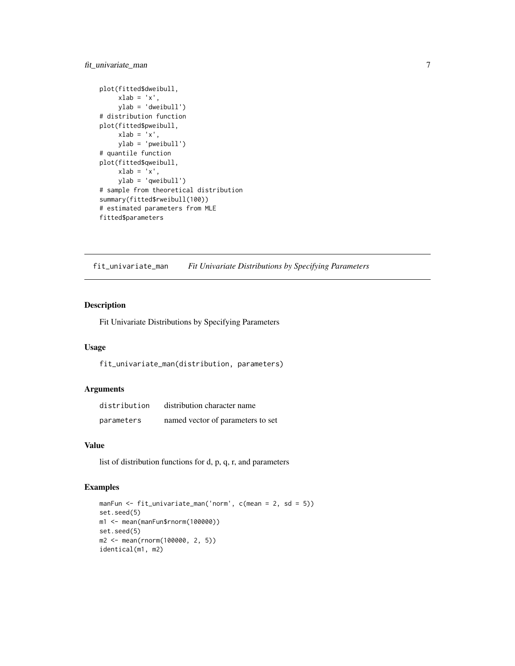#### <span id="page-6-0"></span>fit\_univariate\_man 7

```
plot(fitted$dweibull,
    xlab = 'x',
    ylab = 'dweibull')
# distribution function
plot(fitted$pweibull,
    xlab = 'x',
    ylab = 'pweibull')
# quantile function
plot(fitted$qweibull,
    xlab = 'x',
    ylab = 'qweibull')
# sample from theoretical distribution
summary(fitted$rweibull(100))
# estimated parameters from MLE
fitted$parameters
```
fit\_univariate\_man *Fit Univariate Distributions by Specifying Parameters*

#### Description

Fit Univariate Distributions by Specifying Parameters

#### Usage

fit\_univariate\_man(distribution, parameters)

#### Arguments

| distribution | distribution character name       |
|--------------|-----------------------------------|
| parameters   | named vector of parameters to set |

#### Value

list of distribution functions for d, p, q, r, and parameters

```
manFun <- fit_univariate_man('norm', c(mean = 2, sd = 5))
set.seed(5)
m1 <- mean(manFun$rnorm(100000))
set.seed(5)
m2 <- mean(rnorm(100000, 2, 5))
identical(m1, m2)
```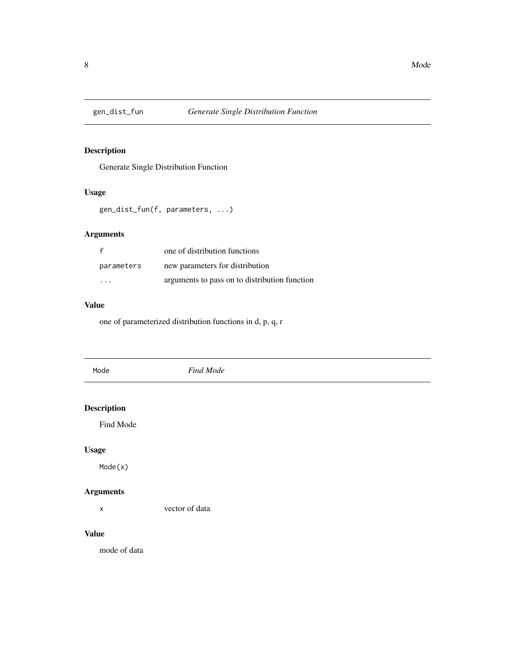<span id="page-7-0"></span>

Generate Single Distribution Function

#### Usage

gen\_dist\_fun(f, parameters, ...)

#### Arguments

|            | one of distribution functions                 |
|------------|-----------------------------------------------|
| parameters | new parameters for distribution               |
| $\cdot$    | arguments to pass on to distribution function |

#### Value

one of parameterized distribution functions in d, p, q, r

| Mode               | Find Mode |  |
|--------------------|-----------|--|
| <b>Description</b> |           |  |
| Find Mode          |           |  |
| <b>Usage</b>       |           |  |
| Mode(x)            |           |  |

#### Arguments

x vector of data

#### Value

mode of data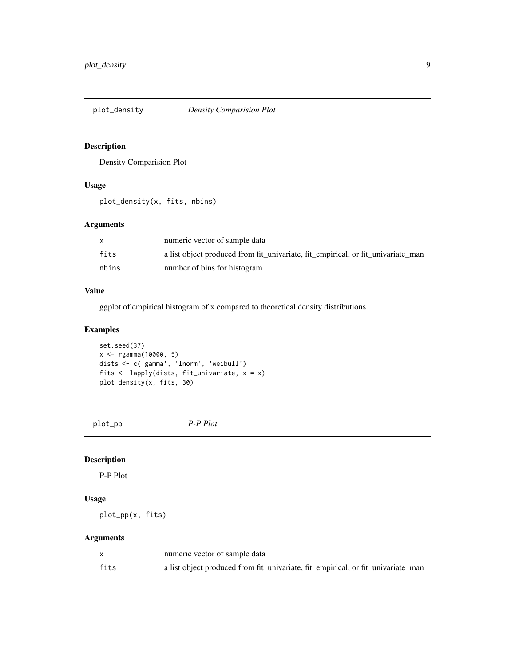<span id="page-8-0"></span>

Density Comparision Plot

#### Usage

plot\_density(x, fits, nbins)

#### Arguments

|       | numeric vector of sample data                                                    |
|-------|----------------------------------------------------------------------------------|
| fits  | a list object produced from fit_univariate, fit_empirical, or fit_univariate_man |
| nbins | number of bins for histogram                                                     |

#### Value

ggplot of empirical histogram of x compared to theoretical density distributions

#### Examples

```
set.seed(37)
x <- rgamma(10000, 5)
dists <- c('gamma', 'lnorm', 'weibull')
fits <- lapply(dists, fit_univariate, x = x)
plot_density(x, fits, 30)
```
plot\_pp *P-P Plot*

#### Description

P-P Plot

#### Usage

plot\_pp(x, fits)

#### Arguments

|      | numeric vector of sample data                                                    |
|------|----------------------------------------------------------------------------------|
| fits | a list object produced from fit_univariate, fit_empirical, or fit_univariate_man |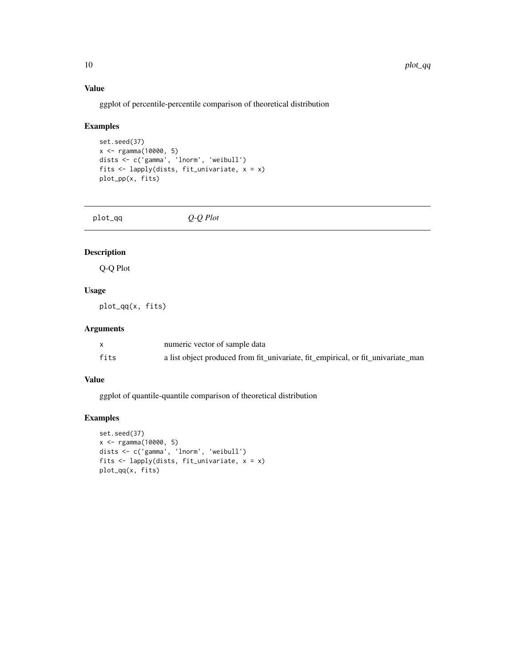#### Value

ggplot of percentile-percentile comparison of theoretical distribution

#### Examples

```
set.seed(37)
x <- rgamma(10000, 5)
dists <- c('gamma', 'lnorm', 'weibull')
fits <- lapply(dists, fit_univariate, x = x)
plot_pp(x, fits)
```
plot\_qq *Q-Q Plot*

#### Description

Q-Q Plot

#### Usage

plot\_qq(x, fits)

#### Arguments

|      | numeric vector of sample data                                                    |
|------|----------------------------------------------------------------------------------|
| fits | a list object produced from fit_univariate, fit_empirical, or fit_univariate_man |

#### Value

ggplot of quantile-quantile comparison of theoretical distribution

```
set.seed(37)
x <- rgamma(10000, 5)
dists <- c('gamma', 'lnorm', 'weibull')
fits <- lapply(dists, fit_univariate, x = x)
plot_qq(x, fits)
```
<span id="page-9-0"></span>